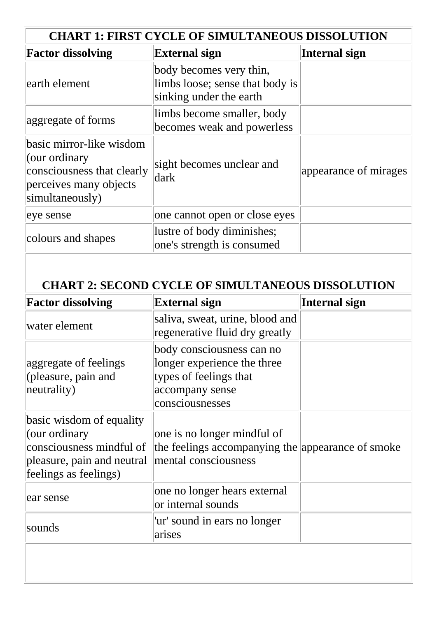| <b>CHART 1: FIRST CYCLE OF SIMULTANEOUS DISSOLUTION</b>                                                              |                                                                                       |                       |  |
|----------------------------------------------------------------------------------------------------------------------|---------------------------------------------------------------------------------------|-----------------------|--|
| <b>Factor dissolving</b>                                                                                             | <b>External sign</b>                                                                  | Internal sign         |  |
| earth element                                                                                                        | body becomes very thin,<br>limbs loose; sense that body is<br>sinking under the earth |                       |  |
| aggregate of forms                                                                                                   | limbs become smaller, body<br>becomes weak and powerless                              |                       |  |
| basic mirror-like wisdom<br>(our ordinary<br>consciousness that clearly<br>perceives many objects<br>simultaneously) | sight becomes unclear and<br>ldark                                                    | appearance of mirages |  |
| eye sense                                                                                                            | one cannot open or close eyes                                                         |                       |  |
| colours and shapes                                                                                                   | lustre of body diminishes;<br>one's strength is consumed                              |                       |  |

## **CHART 2: SECOND CYCLE OF SIMULTANEOUS DISSOLUTION**

| <b>Factor dissolving</b>                                                                                                     | <b>External sign</b>                                                                                                     | Internal sign |
|------------------------------------------------------------------------------------------------------------------------------|--------------------------------------------------------------------------------------------------------------------------|---------------|
| water element                                                                                                                | saliva, sweat, urine, blood and<br>regenerative fluid dry greatly                                                        |               |
| aggregate of feelings<br>(pleasure, pain and<br>neutrality)                                                                  | body consciousness can no<br>longer experience the three<br>types of feelings that<br>accompany sense<br>consciousnesses |               |
| basic wisdom of equality<br>(our ordinary<br>consciousness mindful of<br>pleasure, pain and neutral<br>feelings as feelings) | one is no longer mindful of<br>the feelings accompanying the appearance of smoke<br>mental consciousness                 |               |
| ear sense                                                                                                                    | one no longer hears external<br>or internal sounds                                                                       |               |
| sounds                                                                                                                       | 'ur' sound in ears no longer<br>arises                                                                                   |               |
|                                                                                                                              |                                                                                                                          |               |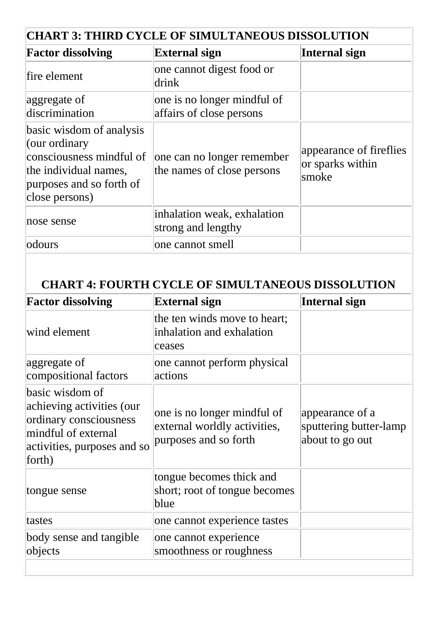| <b>CHART 3: THIRD CYCLE OF SIMULTANEOUS DISSOLUTION</b>                                                                                      |                                                          |                                                      |  |  |
|----------------------------------------------------------------------------------------------------------------------------------------------|----------------------------------------------------------|------------------------------------------------------|--|--|
| <b>Factor dissolving</b>                                                                                                                     | <b>External sign</b>                                     | Internal sign                                        |  |  |
| fire element                                                                                                                                 | one cannot digest food or<br>drink                       |                                                      |  |  |
| aggregate of<br>discrimination                                                                                                               | one is no longer mindful of<br>affairs of close persons  |                                                      |  |  |
| basic wisdom of analysis<br>(our ordinary<br>consciousness mindful of<br>the individual names,<br>purposes and so forth of<br>close persons) | one can no longer remember<br>the names of close persons | appearance of fireflies<br>or sparks within<br>smoke |  |  |
| nose sense                                                                                                                                   | inhalation weak, exhalation<br>strong and lengthy        |                                                      |  |  |
| odours                                                                                                                                       | one cannot smell                                         |                                                      |  |  |

## **CHART 4: FOURTH CYCLE OF SIMULTANEOUS DISSOLUTION**

| <b>External sign</b>                                                                 | Internal sign                                                |
|--------------------------------------------------------------------------------------|--------------------------------------------------------------|
| the ten winds move to heart;<br>inhalation and exhalation<br>ceases                  |                                                              |
| one cannot perform physical<br>actions                                               |                                                              |
| one is no longer mindful of<br>external worldly activities,<br>purposes and so forth | appearance of a<br>sputtering butter-lamp<br>about to go out |
| tongue becomes thick and<br>short; root of tongue becomes<br>blue                    |                                                              |
| one cannot experience tastes                                                         |                                                              |
| one cannot experience<br>smoothness or roughness                                     |                                                              |
|                                                                                      |                                                              |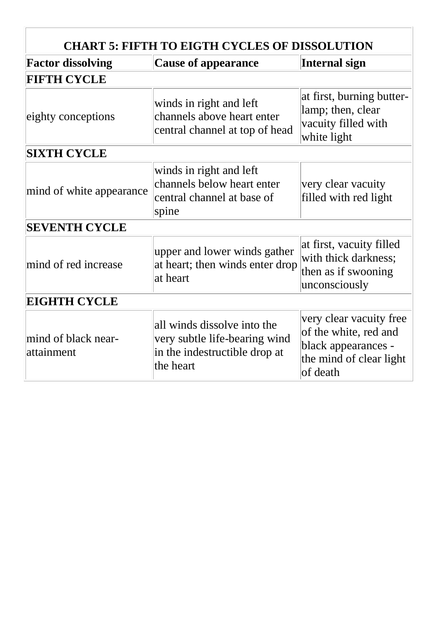| <b>CHART 5: FIFTH TO EIGTH CYCLES OF DISSOLUTION</b> |                                                                                                            |                                                                                                                |  |  |
|------------------------------------------------------|------------------------------------------------------------------------------------------------------------|----------------------------------------------------------------------------------------------------------------|--|--|
| <b>Factor dissolving</b>                             | <b>Cause of appearance</b>                                                                                 | Internal sign                                                                                                  |  |  |
| <b>FIFTH CYCLE</b>                                   |                                                                                                            |                                                                                                                |  |  |
| eighty conceptions                                   | winds in right and left<br>channels above heart enter<br>central channel at top of head                    | at first, burning butter-<br>lamp; then, clear<br>vacuity filled with<br>white light                           |  |  |
| <b>SIXTH CYCLE</b>                                   |                                                                                                            |                                                                                                                |  |  |
| mind of white appearance                             | winds in right and left<br>channels below heart enter<br>central channel at base of<br>spine               | very clear vacuity<br>filled with red light                                                                    |  |  |
| <b>SEVENTH CYCLE</b>                                 |                                                                                                            |                                                                                                                |  |  |
| mind of red increase                                 | upper and lower winds gather<br>at heart; then winds enter drop<br>at heart                                | at first, vacuity filled<br>with thick darkness;<br>then as if swooning<br>unconsciously                       |  |  |
| <b>EIGHTH CYCLE</b>                                  |                                                                                                            |                                                                                                                |  |  |
| mind of black near-<br>attainment                    | all winds dissolve into the<br>very subtle life-bearing wind<br>in the indestructible drop at<br>the heart | very clear vacuity free<br>of the white, red and<br>black appearances -<br>the mind of clear light<br>of death |  |  |